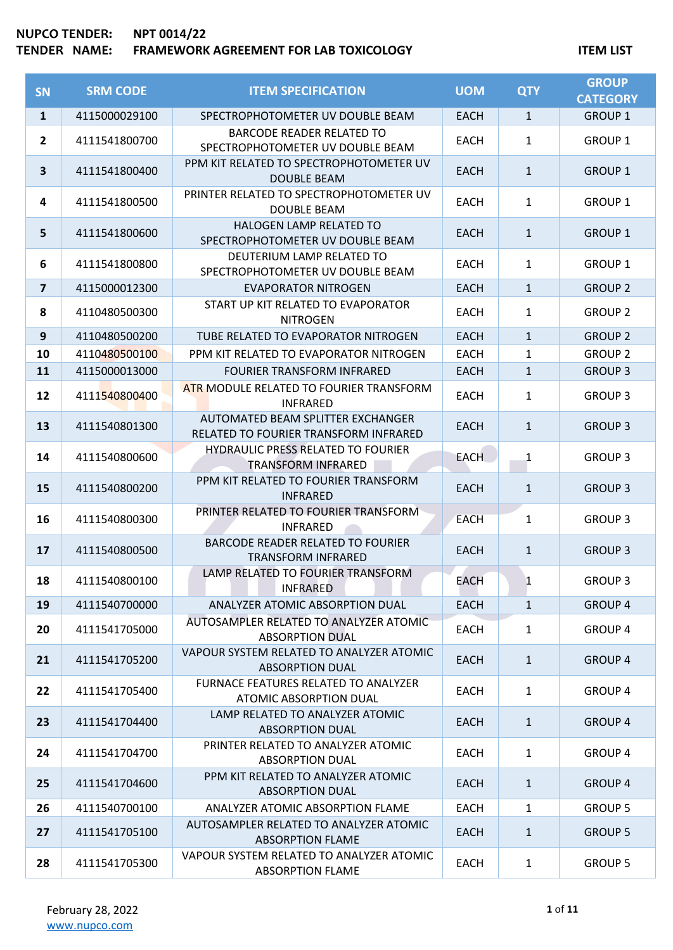| <b>SN</b>               | <b>SRM CODE</b> | <b>ITEM SPECIFICATION</b>                                                  | <b>UOM</b>  | <b>QTY</b>   | <b>GROUP</b><br><b>CATEGORY</b> |
|-------------------------|-----------------|----------------------------------------------------------------------------|-------------|--------------|---------------------------------|
| $\mathbf{1}$            | 4115000029100   | SPECTROPHOTOMETER UV DOUBLE BEAM                                           | <b>EACH</b> | $\mathbf{1}$ | <b>GROUP 1</b>                  |
| $\overline{2}$          | 4111541800700   | <b>BARCODE READER RELATED TO</b><br>SPECTROPHOTOMETER UV DOUBLE BEAM       | <b>EACH</b> | 1            | <b>GROUP 1</b>                  |
| 3                       | 4111541800400   | PPM KIT RELATED TO SPECTROPHOTOMETER UV<br><b>DOUBLE BEAM</b>              | <b>EACH</b> | $\mathbf{1}$ | <b>GROUP 1</b>                  |
| 4                       | 4111541800500   | PRINTER RELATED TO SPECTROPHOTOMETER UV<br><b>DOUBLE BEAM</b>              | <b>EACH</b> | $\mathbf{1}$ | <b>GROUP 1</b>                  |
| 5                       | 4111541800600   | HALOGEN LAMP RELATED TO<br>SPECTROPHOTOMETER UV DOUBLE BEAM                | <b>EACH</b> | $\mathbf{1}$ | <b>GROUP 1</b>                  |
| 6                       | 4111541800800   | DEUTERIUM LAMP RELATED TO<br>SPECTROPHOTOMETER UV DOUBLE BEAM              | <b>EACH</b> | 1            | <b>GROUP 1</b>                  |
| $\overline{\mathbf{z}}$ | 4115000012300   | <b>EVAPORATOR NITROGEN</b>                                                 | <b>EACH</b> | $\mathbf{1}$ | <b>GROUP 2</b>                  |
| 8                       | 4110480500300   | START UP KIT RELATED TO EVAPORATOR<br><b>NITROGEN</b>                      | <b>EACH</b> | 1            | <b>GROUP 2</b>                  |
| $\boldsymbol{9}$        | 4110480500200   | TUBE RELATED TO EVAPORATOR NITROGEN                                        | <b>EACH</b> | $\mathbf{1}$ | <b>GROUP 2</b>                  |
| 10                      | 4110480500100   | PPM KIT RELATED TO EVAPORATOR NITROGEN                                     | <b>EACH</b> | $\mathbf{1}$ | <b>GROUP 2</b>                  |
| 11                      | 4115000013000   | <b>FOURIER TRANSFORM INFRARED</b>                                          | <b>EACH</b> | $\mathbf{1}$ | <b>GROUP 3</b>                  |
| 12                      | 4111540800400   | ATR MODULE RELATED TO FOURIER TRANSFORM<br><b>INFRARED</b>                 | <b>EACH</b> | 1            | <b>GROUP 3</b>                  |
| 13                      | 4111540801300   | AUTOMATED BEAM SPLITTER EXCHANGER<br>RELATED TO FOURIER TRANSFORM INFRARED | <b>EACH</b> | $\mathbf{1}$ | <b>GROUP 3</b>                  |
| 14                      | 4111540800600   | <b>HYDRAULIC PRESS RELATED TO FOURIER</b><br><b>TRANSFORM INFRARED</b>     | <b>EACH</b> | 1            | <b>GROUP 3</b>                  |
| 15                      | 4111540800200   | PPM KIT RELATED TO FOURIER TRANSFORM<br><b>INFRARED</b>                    | <b>EACH</b> | $\mathbf{1}$ | <b>GROUP 3</b>                  |
| 16                      | 4111540800300   | PRINTER RELATED TO FOURIER TRANSFORM<br><b>INFRARED</b>                    | <b>EACH</b> | 1            | <b>GROUP 3</b>                  |
| 17                      | 4111540800500   | <b>BARCODE READER RELATED TO FOURIER</b><br><b>TRANSFORM INFRARED</b>      | <b>EACH</b> | $\mathbf{1}$ | <b>GROUP 3</b>                  |
| 18                      | 4111540800100   | LAMP RELATED TO FOURIER TRANSFORM<br><b>INFRARED</b>                       | EACH        | 1            | <b>GROUP 3</b>                  |
| 19                      | 4111540700000   | ANALYZER ATOMIC ABSORPTION DUAL                                            | <b>EACH</b> | $\mathbf{1}$ | <b>GROUP 4</b>                  |
| 20                      | 4111541705000   | AUTOSAMPLER RELATED TO ANALYZER ATOMIC<br><b>ABSORPTION DUAL</b>           | <b>EACH</b> | $\mathbf{1}$ | <b>GROUP 4</b>                  |
| 21                      | 4111541705200   | VAPOUR SYSTEM RELATED TO ANALYZER ATOMIC<br><b>ABSORPTION DUAL</b>         | <b>EACH</b> | $\mathbf{1}$ | <b>GROUP 4</b>                  |
| 22                      | 4111541705400   | FURNACE FEATURES RELATED TO ANALYZER<br><b>ATOMIC ABSORPTION DUAL</b>      | <b>EACH</b> | $\mathbf{1}$ | <b>GROUP 4</b>                  |
| 23                      | 4111541704400   | LAMP RELATED TO ANALYZER ATOMIC<br><b>ABSORPTION DUAL</b>                  | <b>EACH</b> | $\mathbf{1}$ | <b>GROUP 4</b>                  |
| 24                      | 4111541704700   | PRINTER RELATED TO ANALYZER ATOMIC<br><b>ABSORPTION DUAL</b>               | EACH        | $\mathbf{1}$ | <b>GROUP 4</b>                  |
| 25                      | 4111541704600   | PPM KIT RELATED TO ANALYZER ATOMIC<br><b>ABSORPTION DUAL</b>               | <b>EACH</b> | $\mathbf{1}$ | <b>GROUP 4</b>                  |
| 26                      | 4111540700100   | ANALYZER ATOMIC ABSORPTION FLAME                                           | <b>EACH</b> | 1            | <b>GROUP 5</b>                  |
| 27                      | 4111541705100   | AUTOSAMPLER RELATED TO ANALYZER ATOMIC<br><b>ABSORPTION FLAME</b>          | <b>EACH</b> | $\mathbf{1}$ | <b>GROUP 5</b>                  |
| 28                      | 4111541705300   | VAPOUR SYSTEM RELATED TO ANALYZER ATOMIC<br><b>ABSORPTION FLAME</b>        | <b>EACH</b> | $\mathbf{1}$ | <b>GROUP 5</b>                  |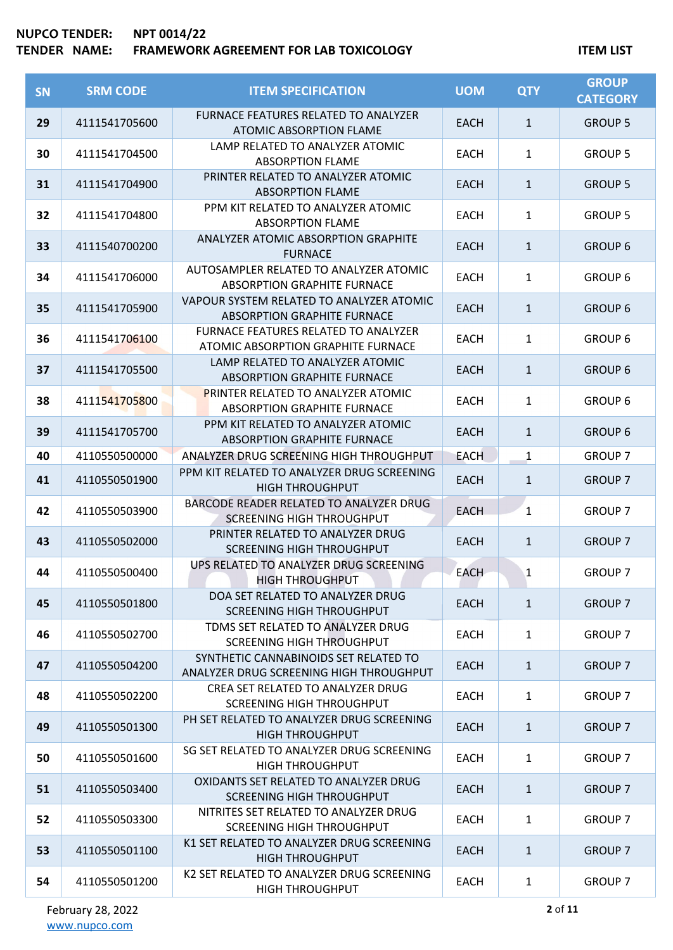| <b>SN</b> | <b>SRM CODE</b> | <b>ITEM SPECIFICATION</b>                                                        | <b>UOM</b>  | <b>QTY</b>   | <b>GROUP</b><br><b>CATEGORY</b> |
|-----------|-----------------|----------------------------------------------------------------------------------|-------------|--------------|---------------------------------|
| 29        | 4111541705600   | <b>FURNACE FEATURES RELATED TO ANALYZER</b><br><b>ATOMIC ABSORPTION FLAME</b>    | <b>EACH</b> | $\mathbf{1}$ | <b>GROUP 5</b>                  |
| 30        | 4111541704500   | LAMP RELATED TO ANALYZER ATOMIC<br><b>ABSORPTION FLAME</b>                       | <b>EACH</b> | $\mathbf{1}$ | <b>GROUP 5</b>                  |
| 31        | 4111541704900   | PRINTER RELATED TO ANALYZER ATOMIC<br><b>ABSORPTION FLAME</b>                    | <b>EACH</b> | $\mathbf{1}$ | <b>GROUP 5</b>                  |
| 32        | 4111541704800   | PPM KIT RELATED TO ANALYZER ATOMIC<br><b>ABSORPTION FLAME</b>                    | <b>EACH</b> | $\mathbf{1}$ | <b>GROUP 5</b>                  |
| 33        | 4111540700200   | ANALYZER ATOMIC ABSORPTION GRAPHITE<br><b>FURNACE</b>                            | <b>EACH</b> | $\mathbf{1}$ | <b>GROUP 6</b>                  |
| 34        | 4111541706000   | AUTOSAMPLER RELATED TO ANALYZER ATOMIC<br><b>ABSORPTION GRAPHITE FURNACE</b>     | <b>EACH</b> | $\mathbf{1}$ | <b>GROUP 6</b>                  |
| 35        | 4111541705900   | VAPOUR SYSTEM RELATED TO ANALYZER ATOMIC<br><b>ABSORPTION GRAPHITE FURNACE</b>   | <b>EACH</b> | $\mathbf{1}$ | <b>GROUP 6</b>                  |
| 36        | 4111541706100   | FURNACE FEATURES RELATED TO ANALYZER<br>ATOMIC ABSORPTION GRAPHITE FURNACE       | <b>EACH</b> | $\mathbf{1}$ | <b>GROUP 6</b>                  |
| 37        | 4111541705500   | LAMP RELATED TO ANALYZER ATOMIC<br><b>ABSORPTION GRAPHITE FURNACE</b>            | <b>EACH</b> | $\mathbf{1}$ | <b>GROUP 6</b>                  |
| 38        | 4111541705800   | <b>PRINTER RELATED TO ANALYZER ATOMIC</b><br>ABSORPTION GRAPHITE FURNACE         | <b>EACH</b> | $\mathbf{1}$ | <b>GROUP 6</b>                  |
| 39        | 4111541705700   | PPM KIT RELATED TO ANALYZER ATOMIC<br><b>ABSORPTION GRAPHITE FURNACE</b>         | <b>EACH</b> | $1\,$        | <b>GROUP 6</b>                  |
| 40        | 4110550500000   | ANALYZER DRUG SCREENING HIGH THROUGHPUT                                          | <b>EACH</b> | $\mathbf{1}$ | <b>GROUP 7</b>                  |
| 41        | 4110550501900   | PPM KIT RELATED TO ANALYZER DRUG SCREENING<br><b>HIGH THROUGHPUT</b>             | <b>EACH</b> | $1\,$        | <b>GROUP 7</b>                  |
| 42        | 4110550503900   | BARCODE READER RELATED TO ANALYZER DRUG<br><b>SCREENING HIGH THROUGHPUT</b>      | <b>EACH</b> | $\mathbf{1}$ | <b>GROUP 7</b>                  |
| 43        | 4110550502000   | PRINTER RELATED TO ANALYZER DRUG<br><b>SCREENING HIGH THROUGHPUT</b>             | <b>EACH</b> | $\mathbf{1}$ | <b>GROUP 7</b>                  |
| 44        | 4110550500400   | UPS RELATED TO ANALYZER DRUG SCREENING<br><b>HIGH THROUGHPUT</b>                 | <b>EACH</b> | $\mathbf{1}$ | <b>GROUP 7</b>                  |
| 45        | 4110550501800   | DOA SET RELATED TO ANALYZER DRUG<br><b>SCREENING HIGH THROUGHPUT</b>             | <b>EACH</b> | $\mathbf{1}$ | <b>GROUP 7</b>                  |
| 46        | 4110550502700   | TDMS SET RELATED TO ANALYZER DRUG<br>SCREENING HIGH THROUGHPUT                   | <b>EACH</b> | 1            | <b>GROUP 7</b>                  |
| 47        | 4110550504200   | SYNTHETIC CANNABINOIDS SET RELATED TO<br>ANALYZER DRUG SCREENING HIGH THROUGHPUT | <b>EACH</b> | $\mathbf{1}$ | <b>GROUP 7</b>                  |
| 48        | 4110550502200   | CREA SET RELATED TO ANALYZER DRUG<br>SCREENING HIGH THROUGHPUT                   | <b>EACH</b> | $\mathbf{1}$ | <b>GROUP 7</b>                  |
| 49        | 4110550501300   | PH SET RELATED TO ANALYZER DRUG SCREENING<br><b>HIGH THROUGHPUT</b>              | <b>EACH</b> | $\mathbf{1}$ | <b>GROUP 7</b>                  |
| 50        | 4110550501600   | SG SET RELATED TO ANALYZER DRUG SCREENING<br><b>HIGH THROUGHPUT</b>              | <b>EACH</b> | $\mathbf{1}$ | <b>GROUP 7</b>                  |
| 51        | 4110550503400   | OXIDANTS SET RELATED TO ANALYZER DRUG<br><b>SCREENING HIGH THROUGHPUT</b>        | <b>EACH</b> | $\mathbf{1}$ | <b>GROUP 7</b>                  |
| 52        | 4110550503300   | NITRITES SET RELATED TO ANALYZER DRUG<br><b>SCREENING HIGH THROUGHPUT</b>        | <b>EACH</b> | 1            | <b>GROUP 7</b>                  |
| 53        | 4110550501100   | K1 SET RELATED TO ANALYZER DRUG SCREENING<br><b>HIGH THROUGHPUT</b>              | <b>EACH</b> | $\mathbf{1}$ | <b>GROUP 7</b>                  |
| 54        | 4110550501200   | K2 SET RELATED TO ANALYZER DRUG SCREENING<br><b>HIGH THROUGHPUT</b>              | <b>EACH</b> | $\mathbf{1}$ | <b>GROUP 7</b>                  |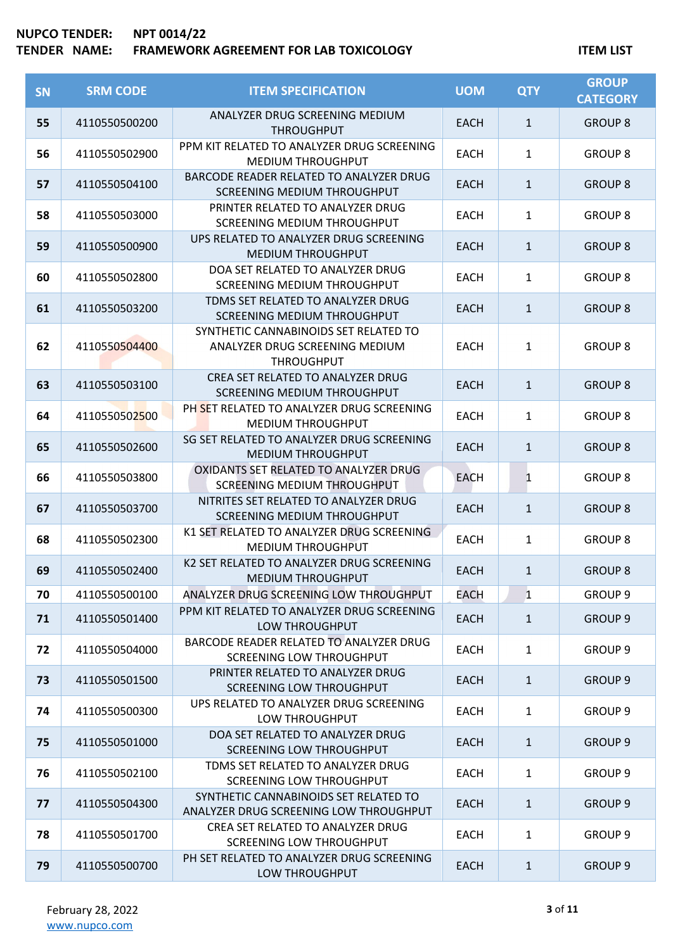| <b>SN</b> | <b>SRM CODE</b> | <b>ITEM SPECIFICATION</b>                                                                    | <b>UOM</b>  | <b>QTY</b>   | <b>GROUP</b><br><b>CATEGORY</b> |
|-----------|-----------------|----------------------------------------------------------------------------------------------|-------------|--------------|---------------------------------|
| 55        | 4110550500200   | ANALYZER DRUG SCREENING MEDIUM<br><b>THROUGHPUT</b>                                          | <b>EACH</b> | $\mathbf{1}$ | <b>GROUP 8</b>                  |
| 56        | 4110550502900   | PPM KIT RELATED TO ANALYZER DRUG SCREENING<br><b>MEDIUM THROUGHPUT</b>                       | <b>EACH</b> | $\mathbf{1}$ | <b>GROUP 8</b>                  |
| 57        | 4110550504100   | BARCODE READER RELATED TO ANALYZER DRUG<br>SCREENING MEDIUM THROUGHPUT                       | <b>EACH</b> | $\mathbf{1}$ | <b>GROUP 8</b>                  |
| 58        | 4110550503000   | PRINTER RELATED TO ANALYZER DRUG<br>SCREENING MEDIUM THROUGHPUT                              | <b>EACH</b> | $\mathbf{1}$ | <b>GROUP 8</b>                  |
| 59        | 4110550500900   | UPS RELATED TO ANALYZER DRUG SCREENING<br><b>MEDIUM THROUGHPUT</b>                           | <b>EACH</b> | $\mathbf{1}$ | <b>GROUP 8</b>                  |
| 60        | 4110550502800   | DOA SET RELATED TO ANALYZER DRUG<br>SCREENING MEDIUM THROUGHPUT                              | <b>EACH</b> | $\mathbf{1}$ | <b>GROUP 8</b>                  |
| 61        | 4110550503200   | TDMS SET RELATED TO ANALYZER DRUG<br>SCREENING MEDIUM THROUGHPUT                             | <b>EACH</b> | $\mathbf{1}$ | <b>GROUP 8</b>                  |
| 62        | 4110550504400   | SYNTHETIC CANNABINOIDS SET RELATED TO<br>ANALYZER DRUG SCREENING MEDIUM<br><b>THROUGHPUT</b> | <b>EACH</b> | 1            | <b>GROUP 8</b>                  |
| 63        | 4110550503100   | CREA SET RELATED TO ANALYZER DRUG<br>SCREENING MEDIUM THROUGHPUT                             | <b>EACH</b> | $\mathbf{1}$ | <b>GROUP 8</b>                  |
| 64        | 4110550502500   | PH SET RELATED TO ANALYZER DRUG SCREENING<br><b>MEDIUM THROUGHPUT</b>                        | <b>EACH</b> | $\mathbf{1}$ | <b>GROUP 8</b>                  |
| 65        | 4110550502600   | SG SET RELATED TO ANALYZER DRUG SCREENING<br><b>MEDIUM THROUGHPUT</b>                        | <b>EACH</b> | $\mathbf{1}$ | <b>GROUP 8</b>                  |
| 66        | 4110550503800   | OXIDANTS SET RELATED TO ANALYZER DRUG<br>SCREENING MEDIUM THROUGHPUT                         | <b>EACH</b> | $\mathbf{1}$ | <b>GROUP 8</b>                  |
| 67        | 4110550503700   | NITRITES SET RELATED TO ANALYZER DRUG<br>SCREENING MEDIUM THROUGHPUT                         | <b>EACH</b> | $\mathbf{1}$ | <b>GROUP 8</b>                  |
| 68        | 4110550502300   | K1 SET RELATED TO ANALYZER DRUG SCREENING<br><b>MEDIUM THROUGHPUT</b>                        | <b>EACH</b> | $\mathbf{1}$ | <b>GROUP 8</b>                  |
| 69        | 4110550502400   | K2 SET RELATED TO ANALYZER DRUG SCREENING<br><b>MEDIUM THROUGHPUT</b>                        | <b>EACH</b> | $\mathbf{1}$ | <b>GROUP 8</b>                  |
| 70        | 4110550500100   | ANALYZER DRUG SCREENING LOW THROUGHPUT                                                       | EACH        | $\mathbf{1}$ | <b>GROUP 9</b>                  |
| 71        | 4110550501400   | PPM KIT RELATED TO ANALYZER DRUG SCREENING<br>LOW THROUGHPUT                                 | <b>EACH</b> | $\mathbf{1}$ | <b>GROUP 9</b>                  |
| 72        | 4110550504000   | BARCODE READER RELATED TO ANALYZER DRUG<br><b>SCREENING LOW THROUGHPUT</b>                   | <b>EACH</b> | $\mathbf{1}$ | <b>GROUP 9</b>                  |
| 73        | 4110550501500   | PRINTER RELATED TO ANALYZER DRUG<br><b>SCREENING LOW THROUGHPUT</b>                          | <b>EACH</b> | $\mathbf{1}$ | <b>GROUP 9</b>                  |
| 74        | 4110550500300   | UPS RELATED TO ANALYZER DRUG SCREENING<br>LOW THROUGHPUT                                     | EACH        | $\mathbf{1}$ | <b>GROUP 9</b>                  |
| 75        | 4110550501000   | DOA SET RELATED TO ANALYZER DRUG<br>SCREENING LOW THROUGHPUT                                 | <b>EACH</b> | $\mathbf{1}$ | <b>GROUP 9</b>                  |
| 76        | 4110550502100   | TDMS SET RELATED TO ANALYZER DRUG<br><b>SCREENING LOW THROUGHPUT</b>                         | <b>EACH</b> | $\mathbf{1}$ | GROUP <sub>9</sub>              |
| 77        | 4110550504300   | SYNTHETIC CANNABINOIDS SET RELATED TO<br>ANALYZER DRUG SCREENING LOW THROUGHPUT              | <b>EACH</b> | $\mathbf{1}$ | <b>GROUP 9</b>                  |
| 78        | 4110550501700   | CREA SET RELATED TO ANALYZER DRUG<br><b>SCREENING LOW THROUGHPUT</b>                         | EACH        | $\mathbf{1}$ | <b>GROUP 9</b>                  |
| 79        | 4110550500700   | PH SET RELATED TO ANALYZER DRUG SCREENING<br>LOW THROUGHPUT                                  | <b>EACH</b> | $\mathbf{1}$ | <b>GROUP 9</b>                  |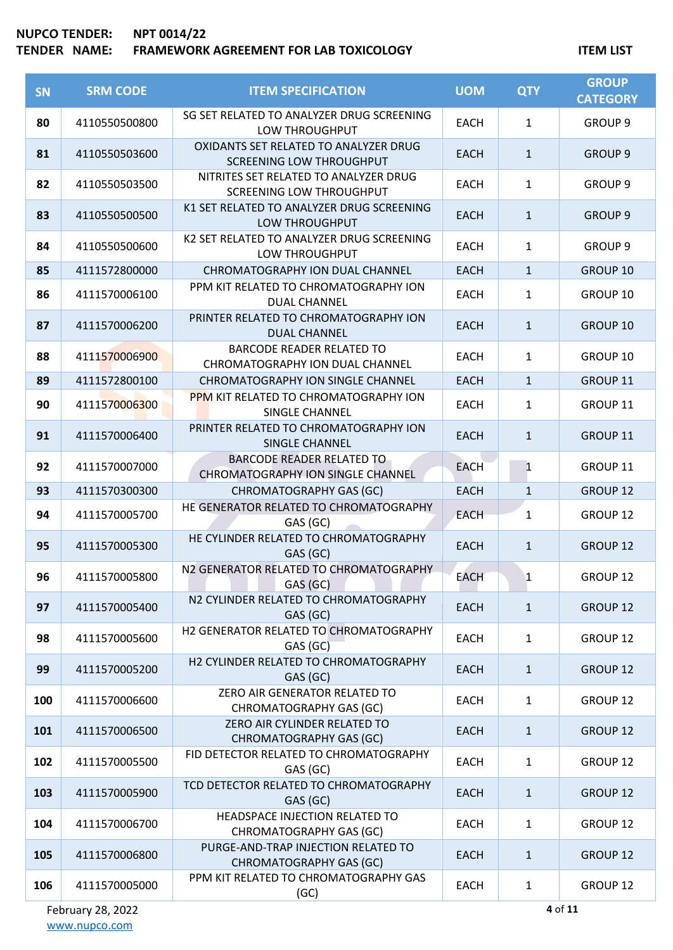# **TENDER NAME: FRAMEWORK AGREEMENT FOR LAB TOXICOLOGY ITEM LIST**

| <b>SN</b> | <b>SRM CODE</b> | <b>ITEM SPECIFICATION</b>                                                | <b>UOM</b>  | <b>QTY</b>   | <b>GROUP</b><br><b>CATEGORY</b> |
|-----------|-----------------|--------------------------------------------------------------------------|-------------|--------------|---------------------------------|
| 80        | 4110550500800   | SG SET RELATED TO ANALYZER DRUG SCREENING<br>LOW THROUGHPUT              | <b>EACH</b> | $\mathbf{1}$ | GROUP <sub>9</sub>              |
| 81        | 4110550503600   | OXIDANTS SET RELATED TO ANALYZER DRUG<br><b>SCREENING LOW THROUGHPUT</b> | <b>EACH</b> | $\mathbf{1}$ | <b>GROUP 9</b>                  |
| 82        | 4110550503500   | NITRITES SET RELATED TO ANALYZER DRUG<br><b>SCREENING LOW THROUGHPUT</b> | <b>EACH</b> | $\mathbf{1}$ | GROUP <sub>9</sub>              |
| 83        | 4110550500500   | K1 SET RELATED TO ANALYZER DRUG SCREENING<br>LOW THROUGHPUT              | <b>EACH</b> | $\mathbf{1}$ | <b>GROUP 9</b>                  |
| 84        | 4110550500600   | K2 SET RELATED TO ANALYZER DRUG SCREENING<br>LOW THROUGHPUT              | <b>EACH</b> | 1            | <b>GROUP 9</b>                  |
| 85        | 4111572800000   | <b>CHROMATOGRAPHY ION DUAL CHANNEL</b>                                   | <b>EACH</b> | $\mathbf{1}$ | GROUP 10                        |
| 86        | 4111570006100   | PPM KIT RELATED TO CHROMATOGRAPHY ION<br><b>DUAL CHANNEL</b>             | <b>EACH</b> | $\mathbf{1}$ | GROUP 10                        |
| 87        | 4111570006200   | PRINTER RELATED TO CHROMATOGRAPHY ION<br><b>DUAL CHANNEL</b>             | <b>EACH</b> | $\mathbf{1}$ | GROUP 10                        |
| 88        | 4111570006900   | <b>BARCODE READER RELATED TO</b><br>CHROMATOGRAPHY ION DUAL CHANNEL      | <b>EACH</b> | $\mathbf{1}$ | GROUP 10                        |
| 89        | 4111572800100   | CHROMATOGRAPHY ION SINGLE CHANNEL                                        | <b>EACH</b> | $\mathbf{1}$ | GROUP 11                        |
| 90        | 4111570006300   | PPM KIT RELATED TO CHROMATOGRAPHY ION<br>SINGLE CHANNEL                  | <b>EACH</b> | $\mathbf{1}$ | GROUP 11                        |
| 91        | 4111570006400   | PRINTER RELATED TO CHROMATOGRAPHY ION<br><b>SINGLE CHANNEL</b>           | <b>EACH</b> | $\mathbf{1}$ | GROUP 11                        |
| 92        | 4111570007000   | <b>BARCODE READER RELATED TO</b><br>CHROMATOGRAPHY ION SINGLE CHANNEL    | <b>EACH</b> | $\mathbf{1}$ | GROUP 11                        |
| 93        | 4111570300300   | CHROMATOGRAPHY GAS (GC)                                                  | <b>EACH</b> | $\mathbf{1}$ | GROUP 12                        |
| 94        | 4111570005700   | HE GENERATOR RELATED TO CHROMATOGRAPHY<br>GAS (GC)                       | <b>EACH</b> | $\mathbf{1}$ | GROUP 12                        |
| 95        | 4111570005300   | HE CYLINDER RELATED TO CHROMATOGRAPHY<br>GAS (GC)                        | <b>EACH</b> | $\mathbf{1}$ | GROUP 12                        |
| 96        | 4111570005800   | N2 GENERATOR RELATED TO CHROMATOGRAPHY<br>GAS (GC)                       | <b>EACH</b> | 1            | GROUP 12                        |
| 97        | 4111570005400   | N2 CYLINDER RELATED TO CHROMATOGRAPHY<br>GAS (GC)                        | <b>EACH</b> | $\mathbf{1}$ | <b>GROUP 12</b>                 |
| 98        | 4111570005600   | H2 GENERATOR RELATED TO CHROMATOGRAPHY<br>GAS(GC)                        | <b>EACH</b> | $\mathbf{1}$ | <b>GROUP 12</b>                 |
| 99        | 4111570005200   | H2 CYLINDER RELATED TO CHROMATOGRAPHY<br>GAS (GC)                        | <b>EACH</b> | $\mathbf{1}$ | <b>GROUP 12</b>                 |
| 100       | 4111570006600   | ZERO AIR GENERATOR RELATED TO<br><b>CHROMATOGRAPHY GAS (GC)</b>          | <b>EACH</b> | $\mathbf{1}$ | <b>GROUP 12</b>                 |
| 101       | 4111570006500   | ZERO AIR CYLINDER RELATED TO<br><b>CHROMATOGRAPHY GAS (GC)</b>           | <b>EACH</b> | $\mathbf{1}$ | <b>GROUP 12</b>                 |
| 102       | 4111570005500   | FID DETECTOR RELATED TO CHROMATOGRAPHY<br>GAS (GC)                       | <b>EACH</b> | $\mathbf{1}$ | GROUP 12                        |
| 103       | 4111570005900   | TCD DETECTOR RELATED TO CHROMATOGRAPHY<br>GAS (GC)                       | <b>EACH</b> | $\mathbf{1}$ | GROUP 12                        |
| 104       | 4111570006700   | HEADSPACE INJECTION RELATED TO<br>CHROMATOGRAPHY GAS (GC)                | <b>EACH</b> | $\mathbf{1}$ | GROUP 12                        |
| 105       | 4111570006800   | PURGE-AND-TRAP INJECTION RELATED TO<br><b>CHROMATOGRAPHY GAS (GC)</b>    | <b>EACH</b> | $\mathbf{1}$ | <b>GROUP 12</b>                 |
| 106       | 4111570005000   | PPM KIT RELATED TO CHROMATOGRAPHY GAS<br>(GC)                            | <b>EACH</b> | 1            | GROUP 12                        |

February 28, 2022 [www.nupco.com](http://www.nupco.com/)

**4** of **11**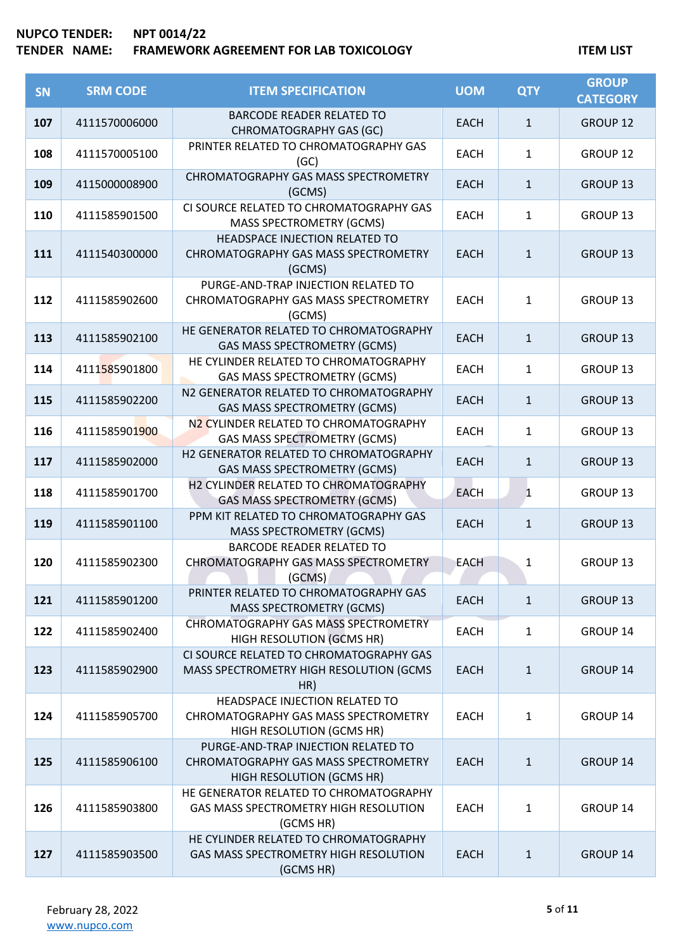| SN  | <b>SRM CODE</b> | <b>ITEM SPECIFICATION</b>                                                                                       | <b>UOM</b>  | <b>QTY</b>   | <b>GROUP</b><br><b>CATEGORY</b> |
|-----|-----------------|-----------------------------------------------------------------------------------------------------------------|-------------|--------------|---------------------------------|
| 107 | 4111570006000   | <b>BARCODE READER RELATED TO</b><br><b>CHROMATOGRAPHY GAS (GC)</b>                                              | <b>EACH</b> | $\mathbf{1}$ | <b>GROUP 12</b>                 |
| 108 | 4111570005100   | PRINTER RELATED TO CHROMATOGRAPHY GAS<br>(GC)                                                                   | <b>EACH</b> | $\mathbf{1}$ | <b>GROUP 12</b>                 |
| 109 | 4115000008900   | CHROMATOGRAPHY GAS MASS SPECTROMETRY<br>(GCMS)                                                                  | <b>EACH</b> | $\mathbf{1}$ | GROUP 13                        |
| 110 | 4111585901500   | CI SOURCE RELATED TO CHROMATOGRAPHY GAS<br>MASS SPECTROMETRY (GCMS)                                             | <b>EACH</b> | $\mathbf{1}$ | <b>GROUP 13</b>                 |
| 111 | 4111540300000   | HEADSPACE INJECTION RELATED TO<br>CHROMATOGRAPHY GAS MASS SPECTROMETRY<br>(GCMS)                                | <b>EACH</b> | $\mathbf{1}$ | <b>GROUP 13</b>                 |
| 112 | 4111585902600   | PURGE-AND-TRAP INJECTION RELATED TO<br>CHROMATOGRAPHY GAS MASS SPECTROMETRY<br>(GCMS)                           | <b>EACH</b> | $\mathbf{1}$ | <b>GROUP 13</b>                 |
| 113 | 4111585902100   | HE GENERATOR RELATED TO CHROMATOGRAPHY<br>GAS MASS SPECTROMETRY (GCMS)                                          | <b>EACH</b> | $\mathbf{1}$ | GROUP 13                        |
| 114 | 4111585901800   | HE CYLINDER RELATED TO CHROMATOGRAPHY<br><b>GAS MASS SPECTROMETRY (GCMS)</b>                                    | <b>EACH</b> | $\mathbf{1}$ | GROUP 13                        |
| 115 | 4111585902200   | N2 GENERATOR RELATED TO CHROMATOGRAPHY<br>GAS MASS SPECTROMETRY (GCMS)                                          | <b>EACH</b> | $\mathbf{1}$ | GROUP 13                        |
| 116 | 4111585901900   | N2 CYLINDER RELATED TO CHROMATOGRAPHY<br>GAS MASS SPECTROMETRY (GCMS)                                           | <b>EACH</b> | $\mathbf{1}$ | GROUP 13                        |
| 117 | 4111585902000   | H2 GENERATOR RELATED TO CHROMATOGRAPHY<br><b>GAS MASS SPECTROMETRY (GCMS)</b>                                   | <b>EACH</b> | $\mathbf{1}$ | GROUP 13                        |
| 118 | 4111585901700   | H2 CYLINDER RELATED TO CHROMATOGRAPHY<br><b>GAS MASS SPECTROMETRY (GCMS)</b>                                    | <b>EACH</b> | $\mathbf{1}$ | GROUP 13                        |
| 119 | 4111585901100   | PPM KIT RELATED TO CHROMATOGRAPHY GAS<br><b>MASS SPECTROMETRY (GCMS)</b>                                        | <b>EACH</b> | $\mathbf{1}$ | GROUP 13                        |
| 120 | 4111585902300   | <b>BARCODE READER RELATED TO</b><br>CHROMATOGRAPHY GAS MASS SPECTROMETRY<br>(GCMS)                              | <b>EACH</b> | $\mathbf{1}$ | GROUP 13                        |
| 121 | 4111585901200   | PRINTER RELATED TO CHROMATOGRAPHY GAS<br><b>MASS SPECTROMETRY (GCMS)</b>                                        | <b>EACH</b> | $\mathbf{1}$ | GROUP 13                        |
| 122 | 4111585902400   | <b>CHROMATOGRAPHY GAS MASS SPECTROMETRY</b><br>HIGH RESOLUTION (GCMS HR)                                        | EACH        | $\mathbf{1}$ | GROUP 14                        |
| 123 | 4111585902900   | CI SOURCE RELATED TO CHROMATOGRAPHY GAS<br>MASS SPECTROMETRY HIGH RESOLUTION (GCMS<br>HR)                       | <b>EACH</b> | $\mathbf{1}$ | <b>GROUP 14</b>                 |
| 124 | 4111585905700   | HEADSPACE INJECTION RELATED TO<br>CHROMATOGRAPHY GAS MASS SPECTROMETRY<br>HIGH RESOLUTION (GCMS HR)             | <b>EACH</b> | 1            | GROUP 14                        |
| 125 | 4111585906100   | PURGE-AND-TRAP INJECTION RELATED TO<br>CHROMATOGRAPHY GAS MASS SPECTROMETRY<br><b>HIGH RESOLUTION (GCMS HR)</b> | <b>EACH</b> | $\mathbf{1}$ | <b>GROUP 14</b>                 |
| 126 | 4111585903800   | HE GENERATOR RELATED TO CHROMATOGRAPHY<br>GAS MASS SPECTROMETRY HIGH RESOLUTION<br>(GCMS HR)                    | <b>EACH</b> | 1            | GROUP 14                        |
| 127 | 4111585903500   | HE CYLINDER RELATED TO CHROMATOGRAPHY<br>GAS MASS SPECTROMETRY HIGH RESOLUTION<br>(GCMS HR)                     | <b>EACH</b> | $\mathbf{1}$ | <b>GROUP 14</b>                 |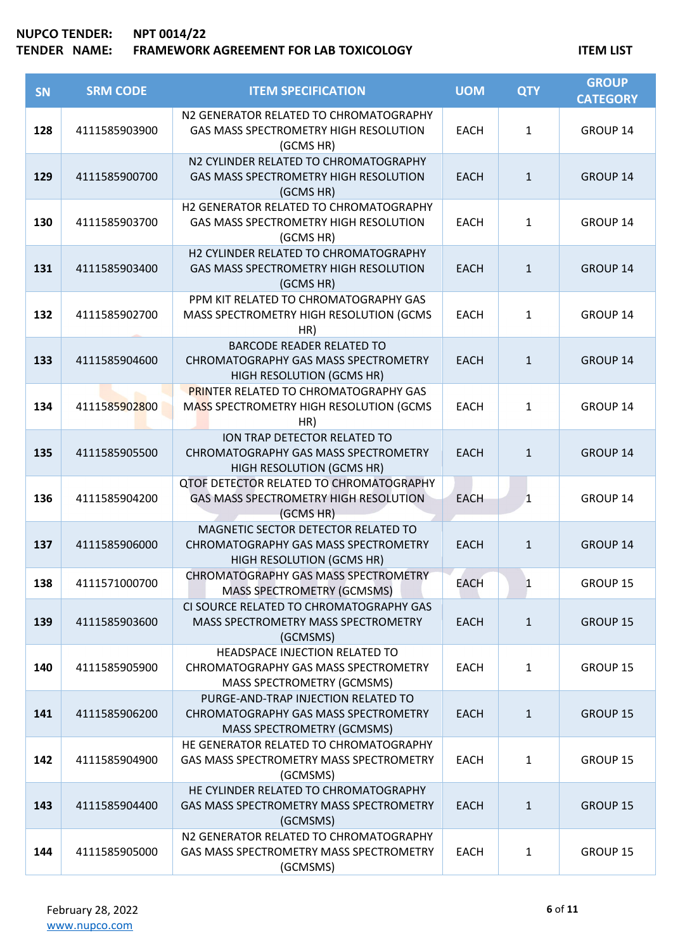| <b>SN</b> | <b>SRM CODE</b> | <b>ITEM SPECIFICATION</b>                                                                                        | <b>UOM</b>  | <b>QTY</b>   | <b>GROUP</b><br><b>CATEGORY</b> |
|-----------|-----------------|------------------------------------------------------------------------------------------------------------------|-------------|--------------|---------------------------------|
| 128       | 4111585903900   | N2 GENERATOR RELATED TO CHROMATOGRAPHY<br>GAS MASS SPECTROMETRY HIGH RESOLUTION<br>(GCMS HR)                     | <b>EACH</b> | $\mathbf{1}$ | GROUP 14                        |
| 129       | 4111585900700   | N2 CYLINDER RELATED TO CHROMATOGRAPHY<br>GAS MASS SPECTROMETRY HIGH RESOLUTION<br>(GCMS HR)                      | <b>EACH</b> | $\mathbf{1}$ | GROUP 14                        |
| 130       | 4111585903700   | H2 GENERATOR RELATED TO CHROMATOGRAPHY<br>GAS MASS SPECTROMETRY HIGH RESOLUTION<br>(GCMS HR)                     | <b>EACH</b> | $\mathbf{1}$ | GROUP 14                        |
| 131       | 4111585903400   | H2 CYLINDER RELATED TO CHROMATOGRAPHY<br>GAS MASS SPECTROMETRY HIGH RESOLUTION<br>(GCMS HR)                      | <b>EACH</b> | $\mathbf{1}$ | <b>GROUP 14</b>                 |
| 132       | 4111585902700   | PPM KIT RELATED TO CHROMATOGRAPHY GAS<br>MASS SPECTROMETRY HIGH RESOLUTION (GCMS<br>HR)                          | <b>EACH</b> | $\mathbf{1}$ | GROUP 14                        |
| 133       | 4111585904600   | <b>BARCODE READER RELATED TO</b><br>CHROMATOGRAPHY GAS MASS SPECTROMETRY<br>HIGH RESOLUTION (GCMS HR)            | <b>EACH</b> | $\mathbf{1}$ | <b>GROUP 14</b>                 |
| 134       | 4111585902800   | <b>PRINTER RELATED TO CHROMATOGRAPHY GAS</b><br>MASS SPECTROMETRY HIGH RESOLUTION (GCMS<br>HR)                   | <b>EACH</b> | $\mathbf{1}$ | GROUP 14                        |
| 135       | 4111585905500   | <b>ION TRAP DETECTOR RELATED TO</b><br>CHROMATOGRAPHY GAS MASS SPECTROMETRY<br>HIGH RESOLUTION (GCMS HR)         | <b>EACH</b> | $\mathbf{1}$ | <b>GROUP 14</b>                 |
| 136       | 4111585904200   | <b>QTOF DETECTOR RELATED TO CHROMATOGRAPHY</b><br>GAS MASS SPECTROMETRY HIGH RESOLUTION<br>(GCMS HR)             | <b>EACH</b> | $\mathbf{1}$ | GROUP 14                        |
| 137       | 4111585906000   | MAGNETIC SECTOR DETECTOR RELATED TO<br>CHROMATOGRAPHY GAS MASS SPECTROMETRY<br>HIGH RESOLUTION (GCMS HR)         | <b>EACH</b> | $\mathbf{1}$ | <b>GROUP 14</b>                 |
| 138       | 4111571000700   | CHROMATOGRAPHY GAS MASS SPECTROMETRY<br><b>MASS SPECTROMETRY (GCMSMS)</b>                                        | <b>EACH</b> | 1            | GROUP 15                        |
| 139       | 4111585903600   | CI SOURCE RELATED TO CHROMATOGRAPHY GAS<br><b>MASS SPECTROMETRY MASS SPECTROMETRY</b><br>(GCMSMS)                | <b>EACH</b> | $\mathbf{1}$ | <b>GROUP 15</b>                 |
| 140       | 4111585905900   | HEADSPACE INJECTION RELATED TO<br>CHROMATOGRAPHY GAS MASS SPECTROMETRY<br><b>MASS SPECTROMETRY (GCMSMS)</b>      | <b>EACH</b> | 1            | <b>GROUP 15</b>                 |
| 141       | 4111585906200   | PURGE-AND-TRAP INJECTION RELATED TO<br>CHROMATOGRAPHY GAS MASS SPECTROMETRY<br><b>MASS SPECTROMETRY (GCMSMS)</b> | <b>EACH</b> | $\mathbf{1}$ | <b>GROUP 15</b>                 |
| 142       | 4111585904900   | HE GENERATOR RELATED TO CHROMATOGRAPHY<br>GAS MASS SPECTROMETRY MASS SPECTROMETRY<br>(GCMSMS)                    | <b>EACH</b> | $\mathbf{1}$ | <b>GROUP 15</b>                 |
| 143       | 4111585904400   | HE CYLINDER RELATED TO CHROMATOGRAPHY<br>GAS MASS SPECTROMETRY MASS SPECTROMETRY<br>(GCMSMS)                     | <b>EACH</b> | $\mathbf{1}$ | <b>GROUP 15</b>                 |
| 144       | 4111585905000   | N2 GENERATOR RELATED TO CHROMATOGRAPHY<br>GAS MASS SPECTROMETRY MASS SPECTROMETRY<br>(GCMSMS)                    | <b>EACH</b> | 1            | GROUP 15                        |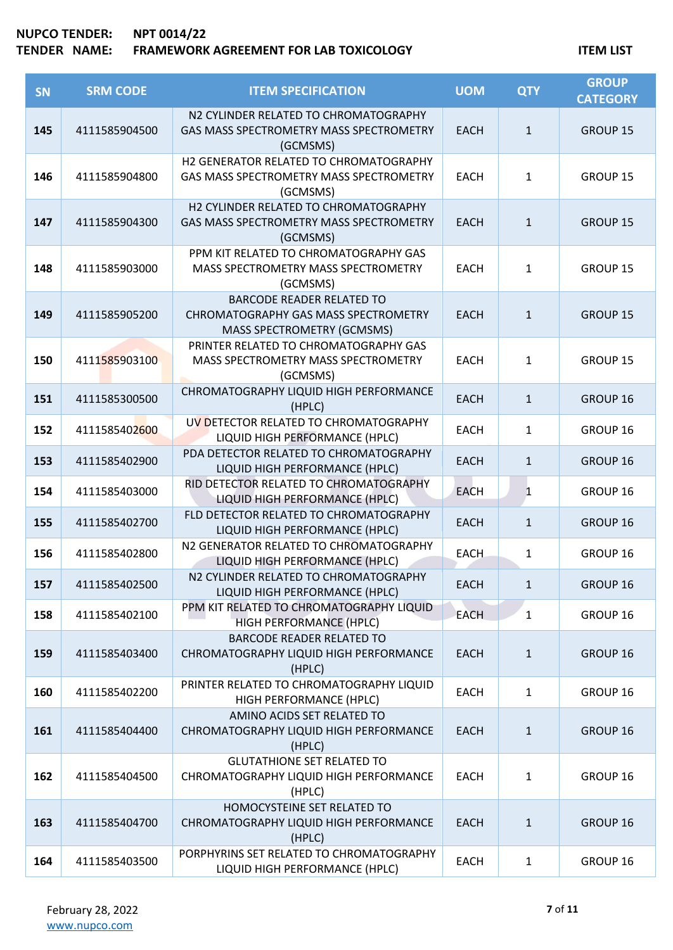| <b>SN</b> | <b>SRM CODE</b> | <b>ITEM SPECIFICATION</b>                                                                              | <b>UOM</b>  | <b>QTY</b>   | <b>GROUP</b><br><b>CATEGORY</b> |
|-----------|-----------------|--------------------------------------------------------------------------------------------------------|-------------|--------------|---------------------------------|
| 145       | 4111585904500   | N2 CYLINDER RELATED TO CHROMATOGRAPHY<br>GAS MASS SPECTROMETRY MASS SPECTROMETRY<br>(GCMSMS)           | <b>EACH</b> | $\mathbf{1}$ | GROUP 15                        |
| 146       | 4111585904800   | H2 GENERATOR RELATED TO CHROMATOGRAPHY<br>GAS MASS SPECTROMETRY MASS SPECTROMETRY<br>(GCMSMS)          | <b>EACH</b> | $\mathbf{1}$ | GROUP 15                        |
| 147       | 4111585904300   | H2 CYLINDER RELATED TO CHROMATOGRAPHY<br>GAS MASS SPECTROMETRY MASS SPECTROMETRY<br>(GCMSMS)           | <b>EACH</b> | $\mathbf{1}$ | <b>GROUP 15</b>                 |
| 148       | 4111585903000   | PPM KIT RELATED TO CHROMATOGRAPHY GAS<br>MASS SPECTROMETRY MASS SPECTROMETRY<br>(GCMSMS)               | <b>EACH</b> | $\mathbf{1}$ | GROUP 15                        |
| 149       | 4111585905200   | <b>BARCODE READER RELATED TO</b><br>CHROMATOGRAPHY GAS MASS SPECTROMETRY<br>MASS SPECTROMETRY (GCMSMS) | <b>EACH</b> | $\mathbf{1}$ | <b>GROUP 15</b>                 |
| 150       | 4111585903100   | PRINTER RELATED TO CHROMATOGRAPHY GAS<br>MASS SPECTROMETRY MASS SPECTROMETRY<br>(GCMSMS)               | <b>EACH</b> | $\mathbf{1}$ | <b>GROUP 15</b>                 |
| 151       | 4111585300500   | CHROMATOGRAPHY LIQUID HIGH PERFORMANCE<br>(HPLC)                                                       | <b>EACH</b> | $\mathbf{1}$ | GROUP 16                        |
| 152       | 4111585402600   | UV DETECTOR RELATED TO CHROMATOGRAPHY<br>LIQUID HIGH PERFORMANCE (HPLC)                                | <b>EACH</b> | $\mathbf{1}$ | GROUP 16                        |
| 153       | 4111585402900   | PDA DETECTOR RELATED TO CHROMATOGRAPHY<br>LIQUID HIGH PERFORMANCE (HPLC)                               | <b>EACH</b> | $\mathbf{1}$ | GROUP 16                        |
| 154       | 4111585403000   | RID DETECTOR RELATED TO CHROMATOGRAPHY<br>LIQUID HIGH PERFORMANCE (HPLC)                               | <b>EACH</b> | $\mathbf{1}$ | GROUP 16                        |
| 155       | 4111585402700   | FLD DETECTOR RELATED TO CHROMATOGRAPHY<br>LIQUID HIGH PERFORMANCE (HPLC)                               | <b>EACH</b> | $\mathbf{1}$ | GROUP 16                        |
| 156       | 4111585402800   | N2 GENERATOR RELATED TO CHROMATOGRAPHY<br>LIQUID HIGH PERFORMANCE (HPLC)                               | <b>EACH</b> | $\mathbf{1}$ | GROUP 16                        |
| 157       | 4111585402500   | N2 CYLINDER RELATED TO CHROMATOGRAPHY<br>LIQUID HIGH PERFORMANCE (HPLC)                                | <b>EACH</b> | $\mathbf{1}$ | <b>GROUP 16</b>                 |
| 158       | 4111585402100   | PPM KIT RELATED TO CHROMATOGRAPHY LIQUID<br>HIGH PERFORMANCE (HPLC)                                    | <b>EACH</b> | $\mathbf{1}$ | GROUP 16                        |
| 159       | 4111585403400   | <b>BARCODE READER RELATED TO</b><br>CHROMATOGRAPHY LIQUID HIGH PERFORMANCE<br>(HPLC)                   | <b>EACH</b> | $\mathbf{1}$ | GROUP 16                        |
| 160       | 4111585402200   | PRINTER RELATED TO CHROMATOGRAPHY LIQUID<br>HIGH PERFORMANCE (HPLC)                                    | <b>EACH</b> | $\mathbf{1}$ | GROUP 16                        |
| 161       | 4111585404400   | AMINO ACIDS SET RELATED TO<br>CHROMATOGRAPHY LIQUID HIGH PERFORMANCE<br>(HPLC)                         | <b>EACH</b> | $\mathbf{1}$ | GROUP 16                        |
| 162       | 4111585404500   | <b>GLUTATHIONE SET RELATED TO</b><br>CHROMATOGRAPHY LIQUID HIGH PERFORMANCE<br>(HPLC)                  | <b>EACH</b> | $\mathbf{1}$ | GROUP 16                        |
| 163       | 4111585404700   | HOMOCYSTEINE SET RELATED TO<br>CHROMATOGRAPHY LIQUID HIGH PERFORMANCE<br>(HPLC)                        | <b>EACH</b> | $\mathbf{1}$ | GROUP 16                        |
| 164       | 4111585403500   | PORPHYRINS SET RELATED TO CHROMATOGRAPHY<br>LIQUID HIGH PERFORMANCE (HPLC)                             | EACH        | $\mathbf{1}$ | GROUP 16                        |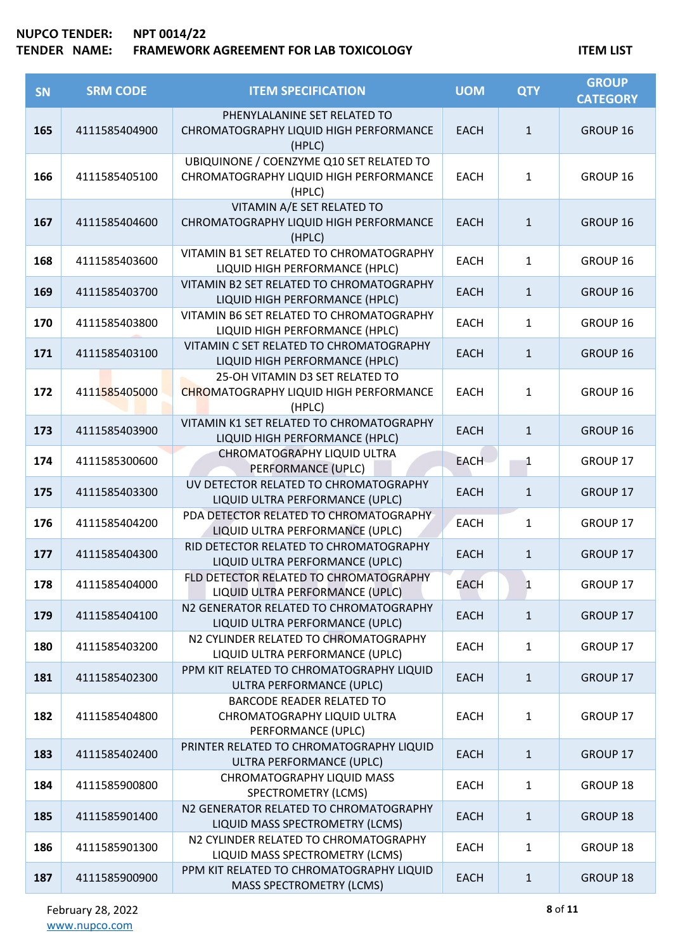| <b>SN</b> | <b>SRM CODE</b> | <b>ITEM SPECIFICATION</b>                                                                    | <b>UOM</b>  | <b>QTY</b>   | <b>GROUP</b><br><b>CATEGORY</b> |
|-----------|-----------------|----------------------------------------------------------------------------------------------|-------------|--------------|---------------------------------|
| 165       | 4111585404900   | PHENYLALANINE SET RELATED TO<br>CHROMATOGRAPHY LIQUID HIGH PERFORMANCE<br>(HPLC)             | <b>EACH</b> | $\mathbf{1}$ | GROUP 16                        |
| 166       | 4111585405100   | UBIQUINONE / COENZYME Q10 SET RELATED TO<br>CHROMATOGRAPHY LIQUID HIGH PERFORMANCE<br>(HPLC) | <b>EACH</b> | 1            | GROUP 16                        |
| 167       | 4111585404600   | VITAMIN A/E SET RELATED TO<br>CHROMATOGRAPHY LIQUID HIGH PERFORMANCE<br>(HPLC)               | <b>EACH</b> | $\mathbf{1}$ | GROUP 16                        |
| 168       | 4111585403600   | VITAMIN B1 SET RELATED TO CHROMATOGRAPHY<br>LIQUID HIGH PERFORMANCE (HPLC)                   | <b>EACH</b> | 1            | GROUP 16                        |
| 169       | 4111585403700   | VITAMIN B2 SET RELATED TO CHROMATOGRAPHY<br>LIQUID HIGH PERFORMANCE (HPLC)                   | <b>EACH</b> | $\mathbf{1}$ | GROUP 16                        |
| 170       | 4111585403800   | VITAMIN B6 SET RELATED TO CHROMATOGRAPHY<br>LIQUID HIGH PERFORMANCE (HPLC)                   | <b>EACH</b> | $\mathbf{1}$ | GROUP 16                        |
| 171       | 4111585403100   | VITAMIN C SET RELATED TO CHROMATOGRAPHY<br>LIQUID HIGH PERFORMANCE (HPLC)                    | <b>EACH</b> | $\mathbf{1}$ | GROUP 16                        |
| 172       | 4111585405000   | 25-OH VITAMIN D3 SET RELATED TO<br><b>CHROMATOGRAPHY LIQUID HIGH PERFORMANCE</b><br>(HPLC)   | <b>EACH</b> | $\mathbf{1}$ | GROUP 16                        |
| 173       | 4111585403900   | VITAMIN K1 SET RELATED TO CHROMATOGRAPHY<br>LIQUID HIGH PERFORMANCE (HPLC)                   | <b>EACH</b> | $\mathbf{1}$ | GROUP 16                        |
| 174       | 4111585300600   | CHROMATOGRAPHY LIQUID ULTRA<br>PERFORMANCE (UPLC)                                            | <b>EACH</b> | 1            | GROUP 17                        |
| 175       | 4111585403300   | UV DETECTOR RELATED TO CHROMATOGRAPHY<br>LIQUID ULTRA PERFORMANCE (UPLC)                     | <b>EACH</b> | $\mathbf{1}$ | GROUP 17                        |
| 176       | 4111585404200   | PDA DETECTOR RELATED TO CHROMATOGRAPHY<br>LIQUID ULTRA PERFORMANCE (UPLC)                    | <b>EACH</b> | 1            | GROUP 17                        |
| 177       | 4111585404300   | RID DETECTOR RELATED TO CHROMATOGRAPHY<br>LIQUID ULTRA PERFORMANCE (UPLC)                    | <b>EACH</b> | $\mathbf{1}$ | GROUP 17                        |
| 178       | 4111585404000   | FLD DETECTOR RELATED TO CHROMATOGRAPHY<br>LIQUID ULTRA PERFORMANCE (UPLC)                    | <b>EACH</b> | $\mathbf{1}$ | GROUP 17                        |
| 179       | 4111585404100   | N2 GENERATOR RELATED TO CHROMATOGRAPHY<br>LIQUID ULTRA PERFORMANCE (UPLC)                    | <b>EACH</b> | $\mathbf{1}$ | GROUP 17                        |
| 180       | 4111585403200   | N2 CYLINDER RELATED TO CHROMATOGRAPHY<br>LIQUID ULTRA PERFORMANCE (UPLC)                     | <b>EACH</b> | 1            | GROUP 17                        |
| 181       | 4111585402300   | PPM KIT RELATED TO CHROMATOGRAPHY LIQUID<br>ULTRA PERFORMANCE (UPLC)                         | <b>EACH</b> | $\mathbf{1}$ | GROUP 17                        |
| 182       | 4111585404800   | <b>BARCODE READER RELATED TO</b><br>CHROMATOGRAPHY LIQUID ULTRA<br>PERFORMANCE (UPLC)        | <b>EACH</b> | 1            | GROUP 17                        |
| 183       | 4111585402400   | PRINTER RELATED TO CHROMATOGRAPHY LIQUID<br>ULTRA PERFORMANCE (UPLC)                         | <b>EACH</b> | $\mathbf{1}$ | GROUP 17                        |
| 184       | 4111585900800   | CHROMATOGRAPHY LIQUID MASS<br><b>SPECTROMETRY (LCMS)</b>                                     | <b>EACH</b> | 1            | GROUP 18                        |
| 185       | 4111585901400   | N2 GENERATOR RELATED TO CHROMATOGRAPHY<br>LIQUID MASS SPECTROMETRY (LCMS)                    | <b>EACH</b> | $\mathbf{1}$ | <b>GROUP 18</b>                 |
| 186       | 4111585901300   | N2 CYLINDER RELATED TO CHROMATOGRAPHY<br>LIQUID MASS SPECTROMETRY (LCMS)                     | <b>EACH</b> | $\mathbf{1}$ | GROUP 18                        |
| 187       | 4111585900900   | PPM KIT RELATED TO CHROMATOGRAPHY LIQUID<br><b>MASS SPECTROMETRY (LCMS)</b>                  | <b>EACH</b> | $\mathbf{1}$ | GROUP 18                        |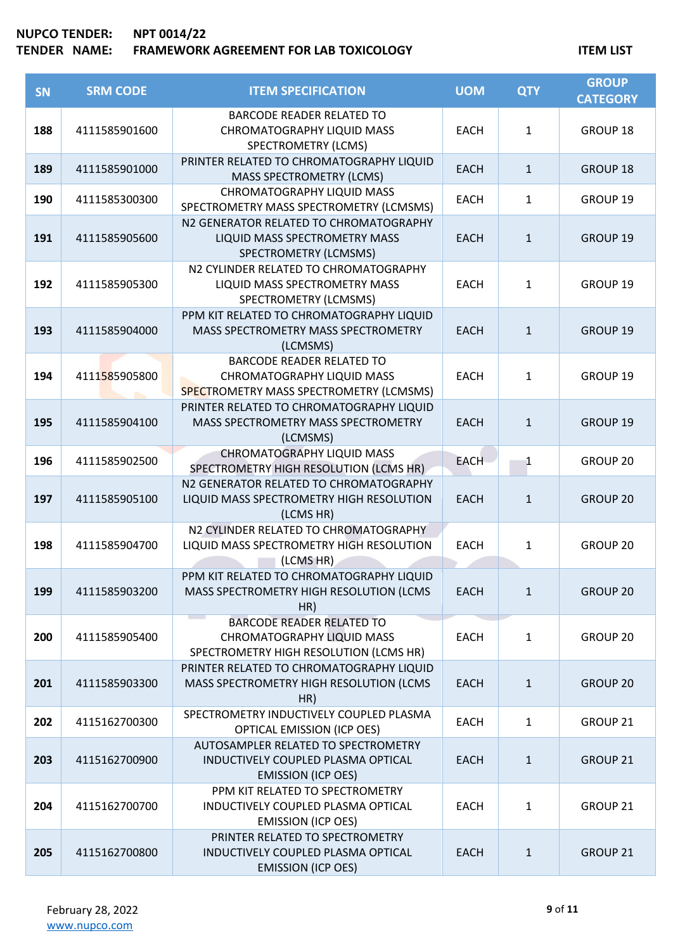| <b>SN</b> | <b>SRM CODE</b> | <b>ITEM SPECIFICATION</b>                                                                                        | <b>UOM</b>  | <b>QTY</b>   | <b>GROUP</b><br><b>CATEGORY</b> |
|-----------|-----------------|------------------------------------------------------------------------------------------------------------------|-------------|--------------|---------------------------------|
| 188       | 4111585901600   | <b>BARCODE READER RELATED TO</b><br>CHROMATOGRAPHY LIQUID MASS<br><b>SPECTROMETRY (LCMS)</b>                     | <b>EACH</b> | $\mathbf{1}$ | GROUP 18                        |
| 189       | 4111585901000   | PRINTER RELATED TO CHROMATOGRAPHY LIQUID<br><b>MASS SPECTROMETRY (LCMS)</b>                                      | <b>EACH</b> | $\mathbf{1}$ | GROUP 18                        |
| 190       | 4111585300300   | <b>CHROMATOGRAPHY LIQUID MASS</b><br>SPECTROMETRY MASS SPECTROMETRY (LCMSMS)                                     | <b>EACH</b> | 1            | GROUP 19                        |
| 191       | 4111585905600   | N2 GENERATOR RELATED TO CHROMATOGRAPHY<br>LIQUID MASS SPECTROMETRY MASS<br>SPECTROMETRY (LCMSMS)                 | <b>EACH</b> | $\mathbf{1}$ | GROUP 19                        |
| 192       | 4111585905300   | N2 CYLINDER RELATED TO CHROMATOGRAPHY<br>LIQUID MASS SPECTROMETRY MASS<br>SPECTROMETRY (LCMSMS)                  | <b>EACH</b> | 1            | GROUP 19                        |
| 193       | 4111585904000   | PPM KIT RELATED TO CHROMATOGRAPHY LIQUID<br>MASS SPECTROMETRY MASS SPECTROMETRY<br>(LCMSMS)                      | <b>EACH</b> | $\mathbf{1}$ | GROUP 19                        |
| 194       | 4111585905800   | <b>BARCODE READER RELATED TO</b><br><b>CHROMATOGRAPHY LIQUID MASS</b><br>SPECTROMETRY MASS SPECTROMETRY (LCMSMS) | <b>EACH</b> | $\mathbf{1}$ | GROUP 19                        |
| 195       | 4111585904100   | PRINTER RELATED TO CHROMATOGRAPHY LIQUID<br>MASS SPECTROMETRY MASS SPECTROMETRY<br>(LCMSMS)                      | <b>EACH</b> | $\mathbf{1}$ | GROUP 19                        |
| 196       | 4111585902500   | <b>CHROMATOGRAPHY LIQUID MASS</b><br>SPECTROMETRY HIGH RESOLUTION (LCMS HR)                                      | <b>EACH</b> | 1            | GROUP 20                        |
| 197       | 4111585905100   | N2 GENERATOR RELATED TO CHROMATOGRAPHY<br>LIQUID MASS SPECTROMETRY HIGH RESOLUTION<br>(LCMS HR)                  | <b>EACH</b> | $\mathbf{1}$ | <b>GROUP 20</b>                 |
| 198       | 4111585904700   | N2 CYLINDER RELATED TO CHROMATOGRAPHY<br>LIQUID MASS SPECTROMETRY HIGH RESOLUTION<br>(LCMS HR)                   | <b>EACH</b> | 1            | GROUP <sub>20</sub>             |
| 199       | 4111585903200   | PPM KIT RELATED TO CHROMATOGRAPHY LIQUID<br>MASS SPECTROMETRY HIGH RESOLUTION (LCMS<br>HR)                       | <b>EACH</b> | $\mathbf{1}$ | <b>GROUP 20</b>                 |
| 200       | 4111585905400   | <b>BARCODE READER RELATED TO</b><br><b>CHROMATOGRAPHY LIQUID MASS</b><br>SPECTROMETRY HIGH RESOLUTION (LCMS HR)  | <b>EACH</b> | 1            | GROUP 20                        |
| 201       | 4111585903300   | PRINTER RELATED TO CHROMATOGRAPHY LIQUID<br>MASS SPECTROMETRY HIGH RESOLUTION (LCMS<br>HR)                       | <b>EACH</b> | $\mathbf{1}$ | <b>GROUP 20</b>                 |
| 202       | 4115162700300   | SPECTROMETRY INDUCTIVELY COUPLED PLASMA<br>OPTICAL EMISSION (ICP OES)                                            | <b>EACH</b> | 1            | GROUP 21                        |
| 203       | 4115162700900   | AUTOSAMPLER RELATED TO SPECTROMETRY<br>INDUCTIVELY COUPLED PLASMA OPTICAL<br><b>EMISSION (ICP OES)</b>           | <b>EACH</b> | $\mathbf{1}$ | GROUP <sub>21</sub>             |
| 204       | 4115162700700   | PPM KIT RELATED TO SPECTROMETRY<br>INDUCTIVELY COUPLED PLASMA OPTICAL<br><b>EMISSION (ICP OES)</b>               | <b>EACH</b> | $\mathbf{1}$ | GROUP 21                        |
| 205       | 4115162700800   | PRINTER RELATED TO SPECTROMETRY<br>INDUCTIVELY COUPLED PLASMA OPTICAL<br><b>EMISSION (ICP OES)</b>               | <b>EACH</b> | $\mathbf{1}$ | <b>GROUP 21</b>                 |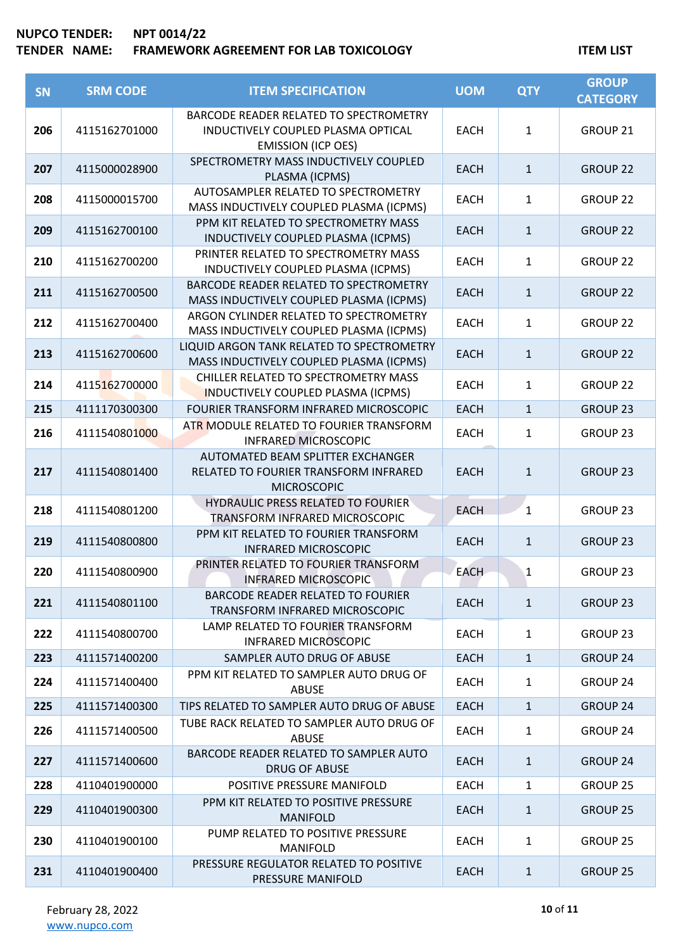# **NUPCO TENDER: NPT 0014/22 TENDER NAME: FRAMEWORK AGREEMENT FOR LAB TOXICOLOGY ITEM LIST**

| <b>SN</b> | <b>SRM CODE</b> | <b>ITEM SPECIFICATION</b>                                                            | <b>UOM</b>  | <b>QTY</b>   | <b>GROUP</b><br><b>CATEGORY</b> |
|-----------|-----------------|--------------------------------------------------------------------------------------|-------------|--------------|---------------------------------|
|           |                 | BARCODE READER RELATED TO SPECTROMETRY                                               |             |              |                                 |
| 206       | 4115162701000   | INDUCTIVELY COUPLED PLASMA OPTICAL                                                   | <b>EACH</b> | $\mathbf{1}$ | GROUP 21                        |
|           |                 | <b>EMISSION (ICP OES)</b>                                                            |             |              |                                 |
|           |                 | SPECTROMETRY MASS INDUCTIVELY COUPLED                                                |             |              |                                 |
| 207       | 4115000028900   | PLASMA (ICPMS)                                                                       | <b>EACH</b> | $\mathbf{1}$ | <b>GROUP 22</b>                 |
|           |                 | AUTOSAMPLER RELATED TO SPECTROMETRY                                                  |             |              |                                 |
| 208       | 4115000015700   | MASS INDUCTIVELY COUPLED PLASMA (ICPMS)                                              | <b>EACH</b> | $\mathbf{1}$ | GROUP <sub>22</sub>             |
| 209       | 4115162700100   | PPM KIT RELATED TO SPECTROMETRY MASS                                                 | <b>EACH</b> | $\mathbf{1}$ | <b>GROUP 22</b>                 |
|           |                 | INDUCTIVELY COUPLED PLASMA (ICPMS)                                                   |             |              |                                 |
| 210       | 4115162700200   | PRINTER RELATED TO SPECTROMETRY MASS                                                 | <b>EACH</b> | $\mathbf{1}$ | <b>GROUP 22</b>                 |
|           |                 | INDUCTIVELY COUPLED PLASMA (ICPMS)                                                   |             |              |                                 |
| 211       | 4115162700500   | BARCODE READER RELATED TO SPECTROMETRY                                               | <b>EACH</b> | $\mathbf{1}$ | <b>GROUP 22</b>                 |
|           |                 | MASS INDUCTIVELY COUPLED PLASMA (ICPMS)                                              |             |              |                                 |
| 212       | 4115162700400   | ARGON CYLINDER RELATED TO SPECTROMETRY                                               | <b>EACH</b> | $\mathbf{1}$ | <b>GROUP 22</b>                 |
|           |                 | MASS INDUCTIVELY COUPLED PLASMA (ICPMS)                                              |             |              |                                 |
| 213       | 4115162700600   | LIQUID ARGON TANK RELATED TO SPECTROMETRY<br>MASS INDUCTIVELY COUPLED PLASMA (ICPMS) | <b>EACH</b> | $\mathbf{1}$ | <b>GROUP 22</b>                 |
|           |                 | CHILLER RELATED TO SPECTROMETRY MASS                                                 |             |              |                                 |
| 214       | 4115162700000   | <b>INDUCTIVELY COUPLED PLASMA (ICPMS)</b>                                            | <b>EACH</b> | $\mathbf{1}$ | <b>GROUP 22</b>                 |
| 215       | 4111170300300   | FOURIER TRANSFORM INFRARED MICROSCOPIC                                               | <b>EACH</b> | $\mathbf{1}$ | <b>GROUP 23</b>                 |
|           |                 | ATR MODULE RELATED TO FOURIER TRANSFORM                                              |             |              |                                 |
| 216       | 4111540801000   | <b>INFRARED MICROSCOPIC</b>                                                          | <b>EACH</b> | 1            | GROUP <sub>23</sub>             |
|           |                 | AUTOMATED BEAM SPLITTER EXCHANGER                                                    |             |              |                                 |
| 217       | 4111540801400   | RELATED TO FOURIER TRANSFORM INFRARED                                                | <b>EACH</b> | $\mathbf{1}$ | GROUP <sub>23</sub>             |
|           |                 | <b>MICROSCOPIC</b>                                                                   |             |              |                                 |
| 218       | 4111540801200   | <b>HYDRAULIC PRESS RELATED TO FOURIER</b>                                            | <b>EACH</b> | $\mathbf{1}$ | GROUP <sub>23</sub>             |
|           |                 | TRANSFORM INFRARED MICROSCOPIC                                                       |             |              |                                 |
| 219       | 4111540800800   | PPM KIT RELATED TO FOURIER TRANSFORM                                                 | <b>EACH</b> | $\mathbf{1}$ | <b>GROUP 23</b>                 |
|           |                 | <b>INFRARED MICROSCOPIC</b>                                                          |             |              |                                 |
| 220       | 4111540800900   | PRINTER RELATED TO FOURIER TRANSFORM                                                 | <b>EACH</b> | $\mathbf{1}$ | GROUP <sub>23</sub>             |
|           |                 | <b>INFRARED MICROSCOPIC</b><br><b>BARCODE READER RELATED TO FOURIER</b>              |             |              |                                 |
| 221       | 4111540801100   | TRANSFORM INFRARED MICROSCOPIC                                                       | <b>EACH</b> | $\mathbf{1}$ | <b>GROUP 23</b>                 |
|           |                 | LAMP RELATED TO FOURIER TRANSFORM                                                    |             |              |                                 |
| 222       | 4111540800700   | <b>INFRARED MICROSCOPIC</b>                                                          | <b>EACH</b> | $\mathbf{1}$ | GROUP <sub>23</sub>             |
| 223       | 4111571400200   | SAMPLER AUTO DRUG OF ABUSE                                                           | <b>EACH</b> | $\mathbf{1}$ | <b>GROUP 24</b>                 |
|           |                 | PPM KIT RELATED TO SAMPLER AUTO DRUG OF                                              |             |              |                                 |
| 224       | 4111571400400   | <b>ABUSE</b>                                                                         | <b>EACH</b> | $\mathbf{1}$ | GROUP <sub>24</sub>             |
| 225       | 4111571400300   | TIPS RELATED TO SAMPLER AUTO DRUG OF ABUSE                                           | <b>EACH</b> | $\mathbf{1}$ | <b>GROUP 24</b>                 |
| 226       | 4111571400500   | TUBE RACK RELATED TO SAMPLER AUTO DRUG OF                                            | <b>EACH</b> | $\mathbf{1}$ | GROUP 24                        |
|           |                 | <b>ABUSE</b>                                                                         |             |              |                                 |
| 227       | 4111571400600   | BARCODE READER RELATED TO SAMPLER AUTO                                               | <b>EACH</b> | $\mathbf{1}$ | <b>GROUP 24</b>                 |
|           |                 | <b>DRUG OF ABUSE</b>                                                                 |             |              |                                 |
| 228       | 4110401900000   | POSITIVE PRESSURE MANIFOLD                                                           | <b>EACH</b> | $\mathbf{1}$ | GROUP 25                        |
| 229       | 4110401900300   | PPM KIT RELATED TO POSITIVE PRESSURE                                                 | <b>EACH</b> | $\mathbf{1}$ | <b>GROUP 25</b>                 |
|           |                 | <b>MANIFOLD</b>                                                                      |             |              |                                 |
| 230       | 4110401900100   | PUMP RELATED TO POSITIVE PRESSURE                                                    | <b>EACH</b> | 1            | GROUP <sub>25</sub>             |
|           |                 | <b>MANIFOLD</b><br>PRESSURE REGULATOR RELATED TO POSITIVE                            |             |              |                                 |
| 231       | 4110401900400   | PRESSURE MANIFOLD                                                                    | <b>EACH</b> | $\mathbf{1}$ | <b>GROUP 25</b>                 |
|           |                 |                                                                                      |             |              |                                 |